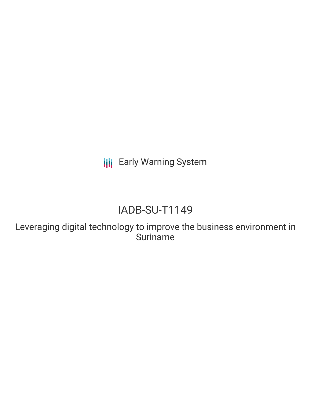**III** Early Warning System

# IADB-SU-T1149

Leveraging digital technology to improve the business environment in Suriname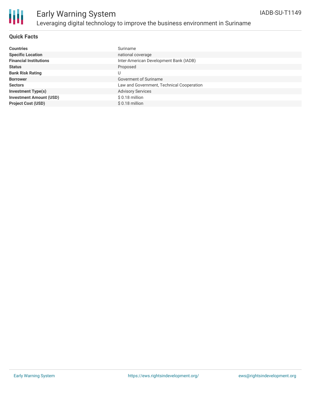

# Early Warning System Leveraging digital technology to improve the business environment in Suriname

### **Quick Facts**

| <b>Countries</b>               | Suriname                                  |
|--------------------------------|-------------------------------------------|
| <b>Specific Location</b>       | national coverage                         |
| <b>Financial Institutions</b>  | Inter-American Development Bank (IADB)    |
| <b>Status</b>                  | Proposed                                  |
| <b>Bank Risk Rating</b>        | U                                         |
| <b>Borrower</b>                | Goverment of Suriname                     |
| <b>Sectors</b>                 | Law and Government, Technical Cooperation |
| <b>Investment Type(s)</b>      | <b>Advisory Services</b>                  |
| <b>Investment Amount (USD)</b> | $$0.18$ million                           |
| <b>Project Cost (USD)</b>      | $$0.18$ million                           |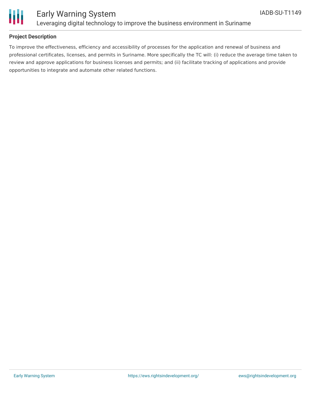

## Early Warning System Leveraging digital technology to improve the business environment in Suriname

### **Project Description**

To improve the effectiveness, efficiency and accessibility of processes for the application and renewal of business and professional certificates, licenses, and permits in Suriname. More specifically the TC will: (i) reduce the average time taken to review and approve applications for business licenses and permits; and (ii) facilitate tracking of applications and provide opportunities to integrate and automate other related functions.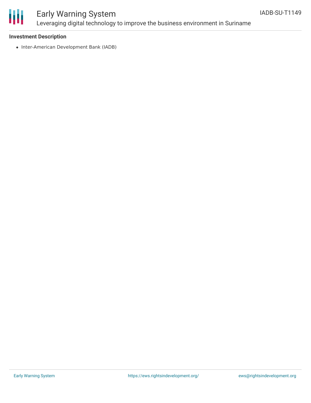

## Early Warning System Leveraging digital technology to improve the business environment in Suriname

### **Investment Description**

• Inter-American Development Bank (IADB)